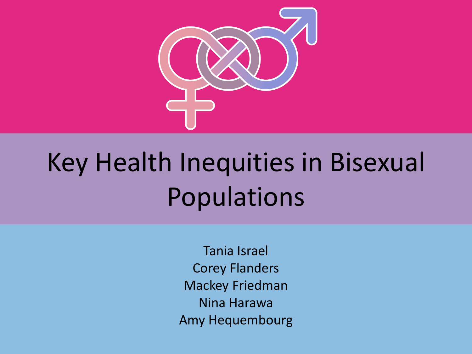

# Key Health Inequities in Bisexual Populations

Tania Israel Corey Flanders Mackey Friedman Nina Harawa Amy Hequembourg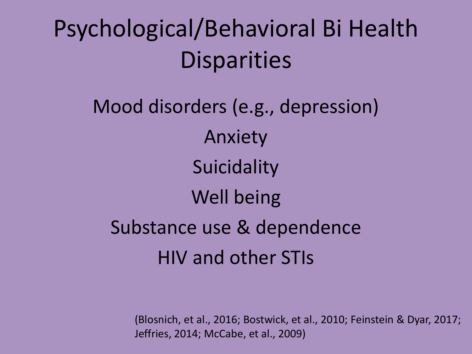### Psychological/Behavioral Bi Health **Disparities**

Mood disorders (e.g., depression) Anxiety **Suicidality** Well being Substance use & dependence HIV and other STIs

> (Blosnich, et al., 2016; Bostwick, et al., 2010; Feinstein & Dyar, 2017; Jeffries, 2014; McCabe, et al., 2009)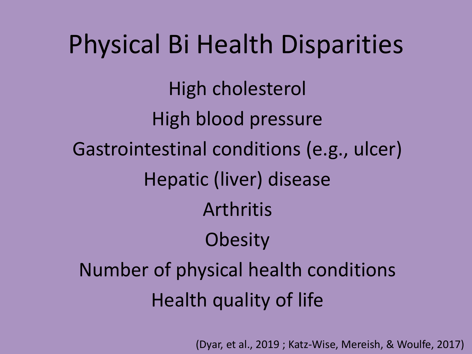# Physical Bi Health Disparities High cholesterol High blood pressure Gastrointestinal conditions (e.g., ulcer) Hepatic (liver) disease Arthritis **Obesity** Number of physical health conditions Health quality of life

(Dyar, et al., 2019 ; Katz-Wise, Mereish, & Woulfe, 2017)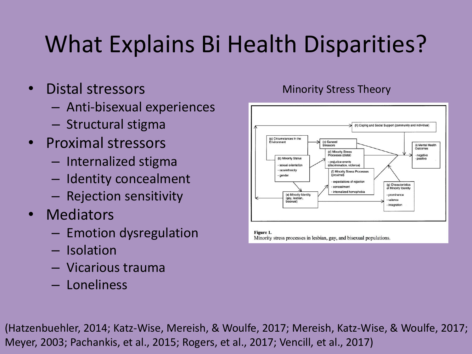### What Explains Bi Health Disparities?

- Distal stressors
	- Anti-bisexual experiences
	- Structural stigma
- Proximal stressors
	- Internalized stigma
	- Identity concealment
	- Rejection sensitivity
- Mediators
	- Emotion dysregulation
	- Isolation
	- Vicarious trauma
	- Loneliness



Figure 1. Minority stress processes in lesbian, gay, and bisexual populations.

(Hatzenbuehler, 2014; Katz-Wise, Mereish, & Woulfe, 2017; Mereish, Katz-Wise, & Woulfe, 2017; Meyer, 2003; Pachankis, et al., 2015; Rogers, et al., 2017; Vencill, et al., 2017)

#### Minority Stress Theory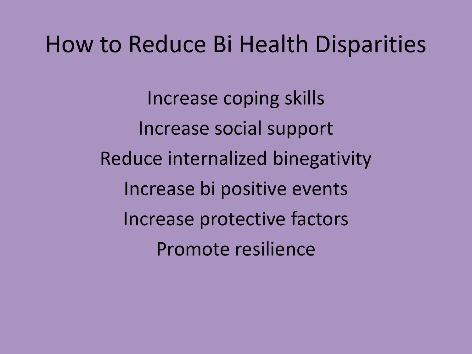### How to Reduce Bi Health Disparities

Increase coping skills Increase social support Reduce internalized binegativity Increase bi positive events Increase protective factors Promote resilience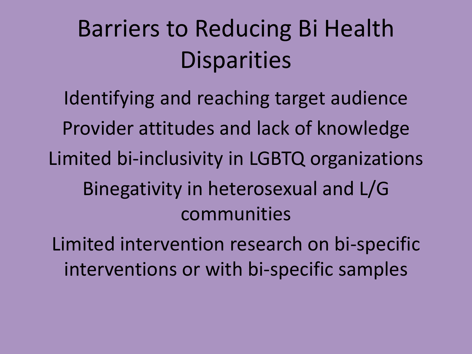### Barriers to Reducing Bi Health **Disparities**

Identifying and reaching target audience Provider attitudes and lack of knowledge Limited bi-inclusivity in LGBTQ organizations Binegativity in heterosexual and L/G communities

Limited intervention research on bi-specific interventions or with bi-specific samples